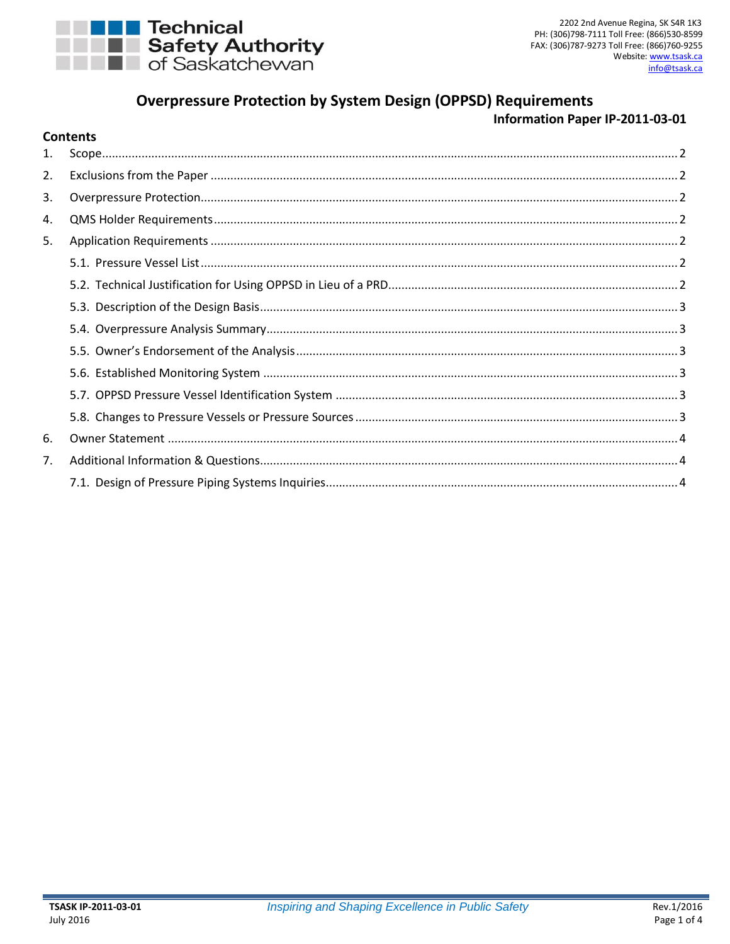

Contents

# **Overpressure Protection by System Design (OPPSD) Requirements**

# Information Paper IP-2011-03-01

| 1.             |  |  |  |
|----------------|--|--|--|
| 2.             |  |  |  |
| 3.             |  |  |  |
| 4.             |  |  |  |
| 5.             |  |  |  |
|                |  |  |  |
|                |  |  |  |
|                |  |  |  |
|                |  |  |  |
|                |  |  |  |
|                |  |  |  |
|                |  |  |  |
|                |  |  |  |
| 6.             |  |  |  |
| 7 <sub>1</sub> |  |  |  |
|                |  |  |  |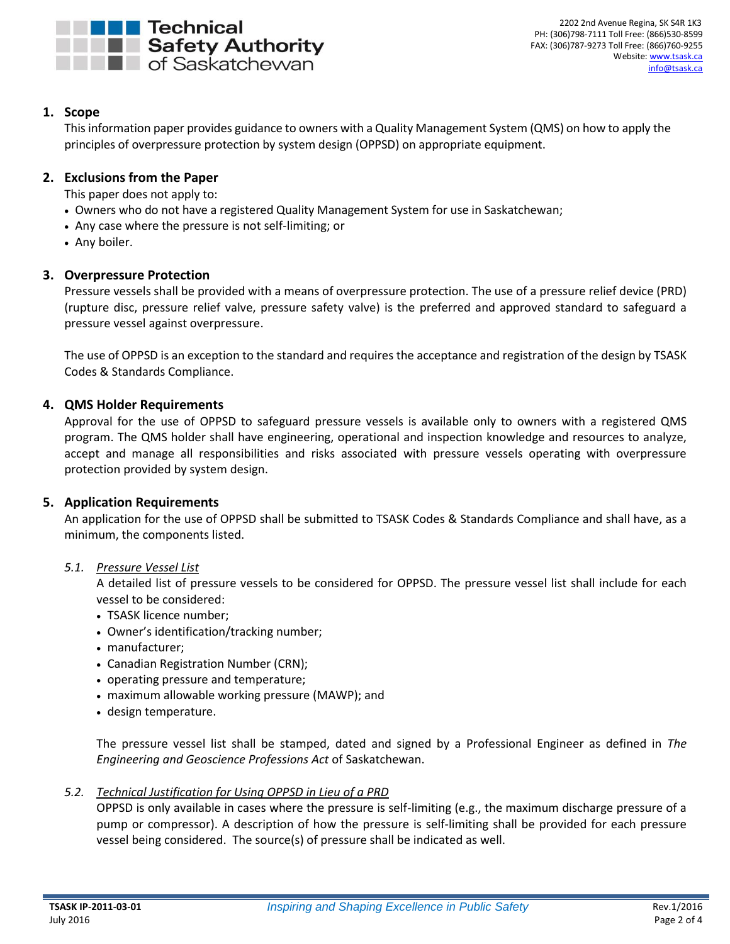

# <span id="page-1-0"></span>**1. Scope**

This information paper provides guidance to owners with a Quality Management System (QMS) on how to apply the principles of overpressure protection by system design (OPPSD) on appropriate equipment.

# <span id="page-1-1"></span>**2. Exclusions from the Paper**

This paper does not apply to:

- Owners who do not have a registered Quality Management System for use in Saskatchewan;
- Any case where the pressure is not self-limiting; or
- Any boiler.

### <span id="page-1-2"></span>**3. Overpressure Protection**

Pressure vessels shall be provided with a means of overpressure protection. The use of a pressure relief device (PRD) (rupture disc, pressure relief valve, pressure safety valve) is the preferred and approved standard to safeguard a pressure vessel against overpressure.

The use of OPPSD is an exception to the standard and requires the acceptance and registration of the design by TSASK Codes & Standards Compliance.

### <span id="page-1-3"></span>**4. QMS Holder Requirements**

Approval for the use of OPPSD to safeguard pressure vessels is available only to owners with a registered QMS program. The QMS holder shall have engineering, operational and inspection knowledge and resources to analyze, accept and manage all responsibilities and risks associated with pressure vessels operating with overpressure protection provided by system design.

#### <span id="page-1-4"></span>**5. Application Requirements**

An application for the use of OPPSD shall be submitted to TSASK Codes & Standards Compliance and shall have, as a minimum, the components listed.

#### <span id="page-1-5"></span>*5.1. Pressure Vessel List*

A detailed list of pressure vessels to be considered for OPPSD. The pressure vessel list shall include for each vessel to be considered:

- TSASK licence number;
- Owner's identification/tracking number;
- manufacturer;
- Canadian Registration Number (CRN);
- operating pressure and temperature;
- maximum allowable working pressure (MAWP); and
- design temperature.

The pressure vessel list shall be stamped, dated and signed by a Professional Engineer as defined in *The Engineering and Geoscience Professions Act* of Saskatchewan.

#### <span id="page-1-6"></span>*5.2. Technical Justification for Using OPPSD in Lieu of a PRD*

OPPSD is only available in cases where the pressure is self-limiting (e.g., the maximum discharge pressure of a pump or compressor). A description of how the pressure is self-limiting shall be provided for each pressure vessel being considered. The source(s) of pressure shall be indicated as well.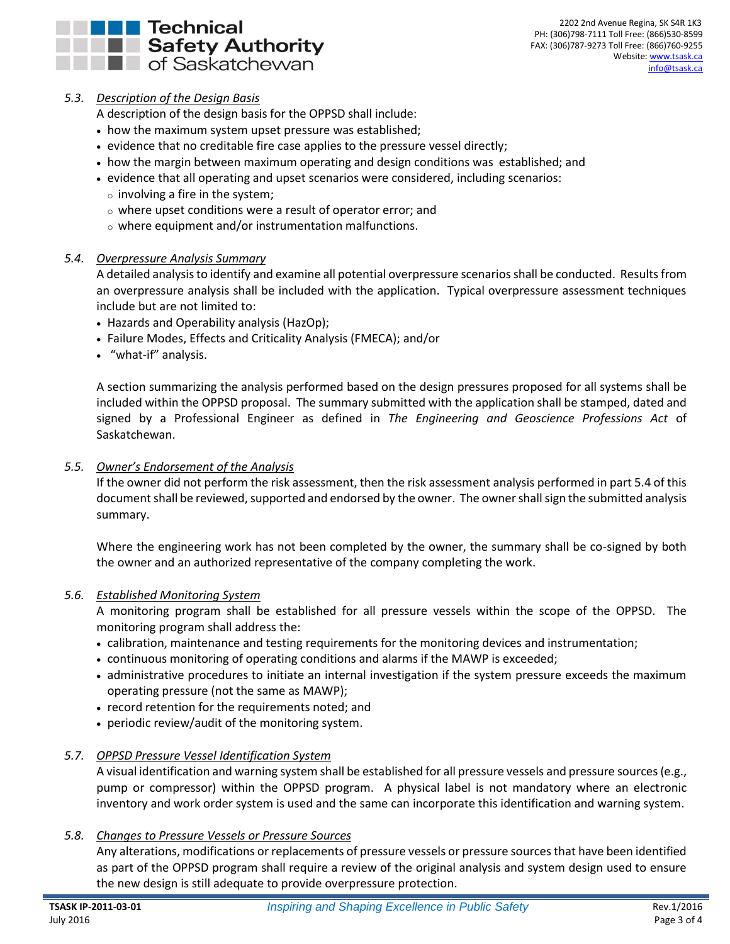

# <span id="page-2-0"></span>*5.3. Description of the Design Basis*

A description of the design basis for the OPPSD shall include:

- how the maximum system upset pressure was established;
- evidence that no creditable fire case applies to the pressure vessel directly;
- how the margin between maximum operating and design conditions was established; and
- evidence that all operating and upset scenarios were considered, including scenarios:
	- $\circ$  involving a fire in the system;
	- $\circ$  where upset conditions were a result of operator error; and
	- o where equipment and/or instrumentation malfunctions.

### <span id="page-2-1"></span>*5.4. Overpressure Analysis Summary*

A detailed analysis to identify and examine all potential overpressure scenarios shall be conducted. Results from an overpressure analysis shall be included with the application. Typical overpressure assessment techniques include but are not limited to:

- Hazards and Operability analysis (HazOp);
- Failure Modes, Effects and Criticality Analysis (FMECA); and/or
- "what-if" analysis.

A section summarizing the analysis performed based on the design pressures proposed for all systems shall be included within the OPPSD proposal. The summary submitted with the application shall be stamped, dated and signed by a Professional Engineer as defined in *The Engineering and Geoscience Professions Act* of Saskatchewan.

### <span id="page-2-2"></span>*5.5. Owner's Endorsement of the Analysis*

If the owner did not perform the risk assessment, then the risk assessment analysis performed in part 5.4 of this document shall be reviewed, supported and endorsed by the owner. The owner shall sign the submitted analysis summary.

Where the engineering work has not been completed by the owner, the summary shall be co-signed by both the owner and an authorized representative of the company completing the work.

#### <span id="page-2-3"></span>*5.6. Established Monitoring System*

A monitoring program shall be established for all pressure vessels within the scope of the OPPSD. The monitoring program shall address the:

- calibration, maintenance and testing requirements for the monitoring devices and instrumentation;
- continuous monitoring of operating conditions and alarms if the MAWP is exceeded;
- administrative procedures to initiate an internal investigation if the system pressure exceeds the maximum operating pressure (not the same as MAWP);
- record retention for the requirements noted; and
- periodic review/audit of the monitoring system.

### <span id="page-2-4"></span>*5.7. OPPSD Pressure Vessel Identification System*

A visual identification and warning system shall be established for all pressure vessels and pressure sources(e.g., pump or compressor) within the OPPSD program. A physical label is not mandatory where an electronic inventory and work order system is used and the same can incorporate this identification and warning system.

### <span id="page-2-5"></span>*5.8. Changes to Pressure Vessels or Pressure Sources*

Any alterations, modifications or replacements of pressure vessels or pressure sourcesthat have been identified as part of the OPPSD program shall require a review of the original analysis and system design used to ensure the new design is still adequate to provide overpressure protection.